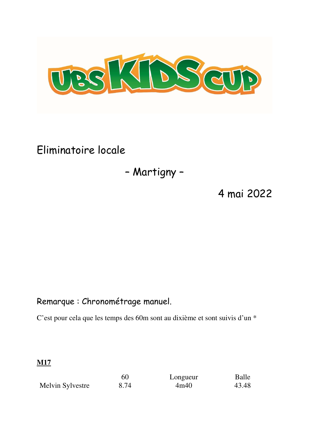

Eliminatoire locale

# – Martigny –

4 mai 2022

# Remarque : Chronométrage manuel.

C'est pour cela que les temps des 60m sont au dixième et sont suivis d'un \*

**M17** 

|                  | 60   | Longueur | Balle |
|------------------|------|----------|-------|
| Melvin Sylvestre | 8.74 | 4m40     | 43.48 |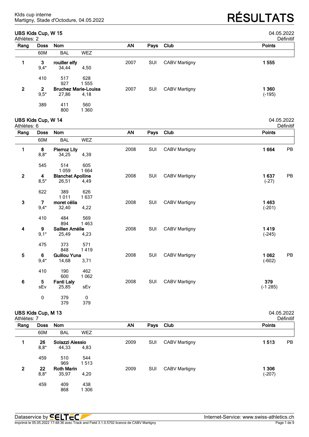### **UBS Kids Cup, W 15** 04.05.2022

Martigny, Stade d'Octodure, 04.05.2022 **RÉSULTATS**

|              | Athlètes: 2    |               |                             |           |      |                      |               |  |  |  |
|--------------|----------------|---------------|-----------------------------|-----------|------|----------------------|---------------|--|--|--|
| Rang         | Doss           | Nom           |                             | <b>AN</b> | Pays | Club                 | <b>Points</b> |  |  |  |
|              | 60M            | <b>BAL</b>    | <b>WEZ</b>                  |           |      |                      |               |  |  |  |
|              | 3              | rouiller elfy |                             | 2007      | SUI  | <b>CABV Martigny</b> | 1555          |  |  |  |
|              | $9,4*$         | 34,44         | 4,50                        |           |      |                      |               |  |  |  |
|              | 410            | 517           | 628                         |           |      |                      |               |  |  |  |
|              |                | 927           | 555                         |           |      |                      |               |  |  |  |
| $\mathbf{2}$ | $\overline{2}$ |               | <b>Bruchez Marie-Louisa</b> | 2007      | SUI  | <b>CABV Martigny</b> | 1 360         |  |  |  |
|              | $9,5*$         | 27,86         | 4,18                        |           |      |                      | $(-195)$      |  |  |  |
|              | 389            | 411           | 560                         |           |      |                      |               |  |  |  |
|              |                | 800           | 360                         |           |      |                      |               |  |  |  |

# **UBS Kids Cup, W 14** 04.05.2022

| Athlètes: 6             |             |                          |            |           |      |                      | Définitif     |  |
|-------------------------|-------------|--------------------------|------------|-----------|------|----------------------|---------------|--|
| Rang                    | <b>Doss</b> | Nom                      |            | <b>AN</b> | Pays | Club                 | <b>Points</b> |  |
|                         | 60M         | <b>BAL</b>               | <b>WEZ</b> |           |      |                      |               |  |
| 1                       | 8           | <b>Pierroz Lily</b>      |            | 2008      | SUI  | <b>CABV Martigny</b> | 1664<br>PB    |  |
|                         | $8,8*$      | 34,25                    | 4,39       |           |      |                      |               |  |
|                         | 545         | 514                      | 605        |           |      |                      |               |  |
|                         |             | 1 0 5 9                  | 1664       |           |      |                      |               |  |
| $\mathbf{2}$            | 4           | <b>Blanchet Apolline</b> |            | 2008      | SUI  | <b>CABV Martigny</b> | 1637<br>PB    |  |
|                         | $8,5*$      | 26,51                    | 4,49       |           |      |                      | $(-27)$       |  |
|                         | 622         | 389                      | 626        |           |      |                      |               |  |
|                         |             | 1011                     | 1637       |           |      |                      |               |  |
| $\mathbf{3}$            | 7           | moret célia              |            | 2008      | SUI  | <b>CABV Martigny</b> | 1463          |  |
|                         | $9,4*$      | 32,40                    | 4,22       |           |      |                      | $(-201)$      |  |
|                         | 410         | 484                      | 569        |           |      |                      |               |  |
|                         |             | 894                      | 1463       |           |      |                      |               |  |
| 4                       | 9           | Saillen Amélie           |            | 2008      | SUI  | <b>CABV Martigny</b> | 1419          |  |
|                         | $9,1*$      | 25,49                    | 4,23       |           |      |                      | $(-245)$      |  |
|                         | 475         | 373                      | 571        |           |      |                      |               |  |
|                         |             | 848                      | 1419       |           |      |                      |               |  |
| $\overline{\mathbf{5}}$ | 6           | <b>Guillou Yuna</b>      |            | 2008      | SUI  | <b>CABV Martigny</b> | 1 0 6 2<br>PB |  |
|                         | $9,4*$      | 14,68                    | 3,71       |           |      |                      | $(-602)$      |  |
|                         | 410         | 190                      | 462        |           |      |                      |               |  |
|                         |             | 600                      | 1 0 6 2    |           |      |                      |               |  |
| 6                       | 5           | <b>Fanti Laly</b>        |            | 2008      | SUI  | <b>CABV Martigny</b> | 379           |  |
|                         | sEv         | 25,85                    | sEv        |           |      |                      | $(-1285)$     |  |
|                         | 0           | 379                      | 0          |           |      |                      |               |  |
|                         |             | 379                      | 379        |           |      |                      |               |  |

# **UBS Kids Cup, M 13** 04.05.2022

| Athlètes: 7  |              |                            |              |      |      |                      | <b>Définitif</b> |
|--------------|--------------|----------------------------|--------------|------|------|----------------------|------------------|
| Rang         | <b>Doss</b>  | <b>Nom</b>                 |              | AN   | Pays | <b>Club</b>          | <b>Points</b>    |
|              | 60M          | <b>BAL</b>                 | <b>WEZ</b>   |      |      |                      |                  |
|              | 26<br>$8,8*$ | Solazzi Alessio<br>44,33   | 4,83         | 2009 | SUI  | <b>CABV Martigny</b> | 1513<br>PB       |
|              | 459          | 510<br>969                 | 544<br>1513  |      |      |                      |                  |
| $\mathbf{2}$ | 22<br>$8,8*$ | <b>Roth Marin</b><br>35,97 | 4,20         | 2009 | SUI  | <b>CABV Martigny</b> | 306<br>$(-207)$  |
|              | 459          | 409<br>868                 | 438<br>1 306 |      |      |                      |                  |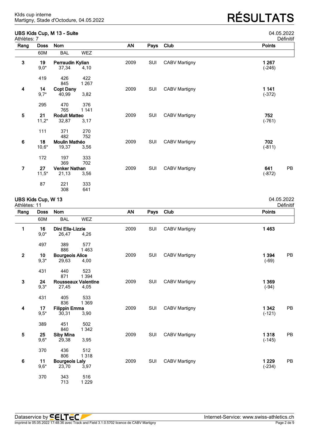| UBS Kids Cup, M 13 - Suite<br>Athlètes: 7 |               | 04.05.2022<br>Définitif       |                |      |      |                      |                       |
|-------------------------------------------|---------------|-------------------------------|----------------|------|------|----------------------|-----------------------|
| Rang                                      | <b>Doss</b>   | Nom                           |                | AN   | Pays | Club                 | <b>Points</b>         |
|                                           | 60M           | <b>BAL</b>                    | <b>WEZ</b>     |      |      |                      |                       |
| $\mathbf{3}$                              | 19            | Perraudin Kylian              |                | 2009 | SUI  | <b>CABV Martigny</b> | 1 267                 |
|                                           | $9,0*$        | 37,34                         | 4,10           |      |      |                      | $(-246)$              |
|                                           | 419           | 426<br>845                    | 422<br>1 2 6 7 |      |      |                      |                       |
| $\overline{\mathbf{4}}$                   | 14            | <b>Copt Dany</b>              |                | 2009 | SUI  | <b>CABV Martigny</b> | 1 141                 |
|                                           | $9,7*$        | 40,99                         | 3,82           |      |      |                      | $(-372)$              |
|                                           | 295           | 470                           | 376            |      |      |                      |                       |
|                                           |               | 765                           | 1 1 4 1        |      |      |                      |                       |
| $\overline{\mathbf{5}}$                   | 21            | <b>Roduit Matteo</b>          |                | 2009 | SUI  | <b>CABV Martigny</b> | 752                   |
|                                           | $11,2*$       | 32,87                         | 3,17           |      |      |                      | $(-761)$              |
|                                           | 111           | 371                           | 270            |      |      |                      |                       |
|                                           |               | 482                           | 752            |      |      |                      |                       |
| $\bf 6$                                   | 18            | Moulin Mathéo                 |                | 2009 | SUI  | <b>CABV Martigny</b> | 702                   |
|                                           | $10,6*$       | 19,37                         | 3,56           |      |      |                      | $(-811)$              |
|                                           | 172           | 197                           | 333            |      |      |                      |                       |
|                                           |               | 369                           | 702            |      |      |                      |                       |
| 7                                         | 27<br>$11,5*$ | <b>Venker Nathan</b><br>21,13 | 3,56           | 2009 | SUI  | <b>CABV Martigny</b> | PB<br>641<br>$(-872)$ |

# **UBS Kids Cup, W 13** 04.05.2022

87 221 333<br>308 641

641

Athlètes: 11 Définitif

| Rang           | <b>Doss</b> | Nom                        |            | AN   | Pays | Club                 | <b>Points</b> |
|----------------|-------------|----------------------------|------------|------|------|----------------------|---------------|
|                | 60M         | <b>BAL</b>                 | <b>WEZ</b> |      |      |                      |               |
| 1              | 16          | Dini Ella-Lizzie           |            | 2009 | SUI  | <b>CABV Martigny</b> | 1463          |
|                | $9,0*$      | 26,47                      | 4,26       |      |      |                      |               |
|                | 497         | 389                        | 577        |      |      |                      |               |
|                |             | 886                        | 1463       |      |      |                      |               |
| $\overline{2}$ | 10          | <b>Bourgeois Alice</b>     |            | 2009 | SUI  | <b>CABV Martigny</b> | PB<br>1 3 9 4 |
|                | $9,3*$      | 29,63                      | 4,00       |      |      |                      | $(-69)$       |
|                | 431         | 440                        | 523        |      |      |                      |               |
|                |             | 871                        | 1 3 9 4    |      |      |                      |               |
| $\mathbf{3}$   | 24          | <b>Rousseaux Valentine</b> |            | 2009 | SUI  | <b>CABV Martigny</b> | 1 3 6 9       |
|                | $9,3*$      | 27,45                      | 4,05       |      |      |                      | $(-94)$       |
|                | 431         | 405                        | 533        |      |      |                      |               |
|                |             | 836                        | 1 3 6 9    |      |      |                      |               |
| 4              | 17          | <b>Filippin Emma</b>       |            | 2009 | SUI  | <b>CABV Martigny</b> | 1 3 4 2<br>PB |
|                | $9,5*$      | 30,31                      | 3,90       |      |      |                      | $(-121)$      |
|                | 389         | 451                        | 502        |      |      |                      |               |
|                |             | 840                        | 1 3 4 2    |      |      |                      |               |
| 5              | 25          | <b>Siby Mina</b>           |            | 2009 | SUI  | <b>CABV Martigny</b> | 1318<br>PB    |
|                | $9,6*$      | 29,38                      | 3,95       |      |      |                      | $(-145)$      |
|                | 370         | 436                        | 512        |      |      |                      |               |
|                |             | 806                        | 1318       |      |      |                      |               |
| $6\phantom{1}$ | 11          | <b>Bourgeois Laly</b>      |            | 2009 | SUI  | <b>CABV Martigny</b> | 1 2 2 9<br>PB |
|                | $9,6*$      | 23,70                      | 3,97       |      |      |                      | $(-234)$      |
|                | 370         | 343                        | 516        |      |      |                      |               |
|                |             | 713                        | 1 2 2 9    |      |      |                      |               |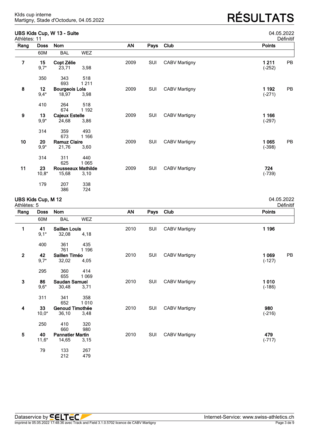### **UBS Kids Cup, W 13 - Suite** 04.05.2022

| Athlètes: 11 |             | ODO MUO OUP, 11 TO - OUILO |            |           |      |                      | 07.00. <i>L</i> ULL<br>Définitif |
|--------------|-------------|----------------------------|------------|-----------|------|----------------------|----------------------------------|
| Rang         | <b>Doss</b> | <b>Nom</b>                 |            | <b>AN</b> | Pays | Club                 | Points                           |
|              | 60M         | <b>BAL</b>                 | <b>WEZ</b> |           |      |                      |                                  |
| 7            | 15          | Copt Zélie                 |            | 2009      | SUI  | <b>CABV Martigny</b> | 1211<br>PB                       |
|              | $9,7*$      | 23,71                      | 3,98       |           |      |                      | $(-252)$                         |
|              | 350         | 343                        | 518        |           |      |                      |                                  |
|              |             | 693                        | 1211       |           |      |                      |                                  |
| 8            | 12          | Bourgeois Lola             |            | 2009      | SUI  | CABV Martigny        | PB<br>1 1 9 2                    |
|              | $9,4*$      | 18,97                      | 3,98       |           |      |                      | $(-271)$                         |
|              | 410         | 264                        | 518        |           |      |                      |                                  |
|              |             | 674                        | 1 1 9 2    |           |      |                      |                                  |
| 9            | 13          | <b>Cajeux Estelle</b>      |            | 2009      | SUI  | <b>CABV Martigny</b> | 1 1 6 6                          |
|              | $9,9*$      | 24,68                      | 3,86       |           |      |                      | $(-297)$                         |
|              | 314         | 359                        | 493        |           |      |                      |                                  |
|              |             | 673                        | 1 1 6 6    |           |      |                      |                                  |
| 10           | 20          | <b>Ramuz Claire</b>        |            | 2009      | SUI  | <b>CABV Martigny</b> | 1 0 6 5<br>PB                    |
|              | $9,9*$      | 21,76                      | 3,60       |           |      |                      | $(-398)$                         |
|              | 314         | 311                        | 440        |           |      |                      |                                  |
|              |             | 625                        | 1 0 6 5    |           |      |                      |                                  |
| 11           | 23          | <b>Rousseaux Mathilde</b>  |            | 2009      | SUI  | <b>CABV Martigny</b> | 724                              |
|              | $10,8*$     | 15,68                      | 3,10       |           |      |                      | $(-739)$                         |
|              | 179         | 207                        | 338        |           |      |                      |                                  |
|              |             | 386                        | 724        |           |      |                      |                                  |

### **UBS Kids Cup, M 12** 04.05.2022

| Athlètes: 5  |             |                         |            |           |      |                      | Définitif     |
|--------------|-------------|-------------------------|------------|-----------|------|----------------------|---------------|
| Rang         | <b>Doss</b> | Nom                     |            | <b>AN</b> | Pays | Club                 | <b>Points</b> |
|              | 60M         | <b>BAL</b>              | <b>WEZ</b> |           |      |                      |               |
| 1            | 41          | <b>Saillen Louis</b>    |            | 2010      | SUI  | <b>CABV Martigny</b> | 1 1 9 6       |
|              | $9,1*$      | 32,08                   | 4,18       |           |      |                      |               |
|              | 400         | 361                     | 435        |           |      |                      |               |
|              |             | 761                     | 1 1 9 6    |           |      |                      |               |
| $\mathbf{2}$ | 42          | Saillen Timéo           |            | 2010      | SUI  | <b>CABV Martigny</b> | 1 0 6 9<br>PB |
|              | $9,7*$      | 32,02                   | 4,05       |           |      |                      | $(-127)$      |
|              | 295         | 360                     | 414        |           |      |                      |               |
|              |             | 655                     | 1 0 6 9    |           |      |                      |               |
| $\mathbf{3}$ | 86          | <b>Saudan Samuel</b>    |            | 2010      | SUI  | <b>CABV Martigny</b> | 1010          |
|              | $9,6*$      | 30,48                   | 3,71       |           |      |                      | $(-186)$      |
|              | 311         | 341                     | 358        |           |      |                      |               |
|              |             | 652                     | 1010       |           |      |                      |               |
| 4            | 33          | <b>Genoud Timothée</b>  |            | 2010      | SUI  | <b>CABV Martigny</b> | 980           |
|              | $10,0*$     | 36,10                   | 3,48       |           |      |                      | $(-216)$      |
|              | 250         | 410                     | 320        |           |      |                      |               |
|              |             | 660                     | 980        |           |      |                      |               |
| 5            | 40          | <b>Pannatier Martin</b> |            | 2010      | SUI  | <b>CABV Martigny</b> | 479           |
|              | $11,6*$     | 14,65                   | 3,15       |           |      |                      | $(-717)$      |
|              | 79          | 133                     | 267        |           |      |                      |               |
|              |             | 212                     | 479        |           |      |                      |               |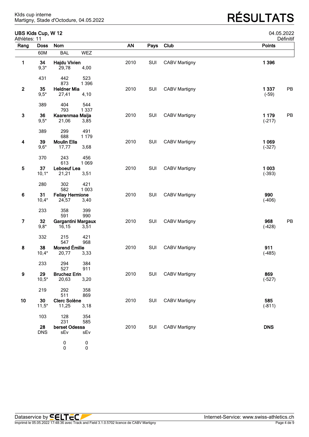# Martigny, Stade d'Octodure, 04.05.2022 **RÉSULTATS**

| Athlètes: 11            | UBS Kids Cup, W 12 |                               |            |           |      |                      |                     | 04.05.2022<br>Définitif |
|-------------------------|--------------------|-------------------------------|------------|-----------|------|----------------------|---------------------|-------------------------|
| Rang                    | <b>Doss</b>        | Nom                           |            | <b>AN</b> | Pays | Club                 | <b>Points</b>       |                         |
|                         | 60M                | <b>BAL</b>                    | <b>WEZ</b> |           |      |                      |                     |                         |
| 1                       | 34                 | <b>Hajdu Vivien</b>           |            | 2010      | SUI  | <b>CABV Martigny</b> | 1 3 9 6             |                         |
|                         | $9,3*$             | 29,78                         | 4,00       |           |      |                      |                     |                         |
|                         | 431                | 442                           | 523        |           |      |                      |                     |                         |
|                         |                    | 873                           | 1 3 9 6    |           |      |                      |                     |                         |
| $\mathbf{2}$            | 35<br>$9,5*$       | <b>Heldner Mia</b><br>27,41   | 4,10       | 2010      | SUI  | <b>CABV Martigny</b> | 1 3 3 7<br>$(-59)$  | PB                      |
|                         |                    |                               |            |           |      |                      |                     |                         |
|                         | 389                | 404                           | 544        |           |      |                      |                     |                         |
| $\mathbf{3}$            | 36                 | 793<br>Kaarenmaa Maija        | 1 3 3 7    | 2010      | SUI  | <b>CABV Martigny</b> | 1 1 7 9             | PB                      |
|                         | $9,5*$             | 21,06                         | 3,85       |           |      |                      | $(-217)$            |                         |
|                         | 389                | 299                           | 491        |           |      |                      |                     |                         |
|                         |                    | 688                           | 1 1 7 9    |           |      |                      |                     |                         |
| 4                       | 39                 | <b>Moulin Ella</b>            |            | 2010      | SUI  | <b>CABV Martigny</b> | 1 0 6 9             |                         |
|                         | $9,6*$             | 17,77                         | 3,68       |           |      |                      | $(-327)$            |                         |
|                         | 370                | 243                           | 456        |           |      |                      |                     |                         |
|                         |                    | 613                           | 1 0 6 9    |           |      |                      |                     |                         |
| $\overline{\mathbf{5}}$ | 37<br>$10,1*$      | Leboeuf Lea<br>21,21          | 3,51       | 2010      | SUI  | <b>CABV Martigny</b> | 1 0 0 3<br>$(-393)$ |                         |
|                         |                    |                               |            |           |      |                      |                     |                         |
|                         | 280                | 302                           | 421        |           |      |                      |                     |                         |
| $\bf 6$                 | 31                 | 582<br><b>Fellay Hermione</b> | 1 0 0 3    | 2010      | SUI  | <b>CABV Martigny</b> | 990                 |                         |
|                         | $10,4*$            | 24,57                         | 3,40       |           |      |                      | $(-406)$            |                         |
|                         |                    |                               |            |           |      |                      |                     |                         |
|                         | 233                | 358<br>591                    | 399<br>990 |           |      |                      |                     |                         |
| $\overline{7}$          | 32                 | Gargantini Margaux            |            | 2010      | SUI  | <b>CABV Martigny</b> | 968                 | PB                      |
|                         | $9,8*$             | 16,15                         | 3,51       |           |      |                      | $(-428)$            |                         |
|                         | 332                | 215                           | 421        |           |      |                      |                     |                         |
|                         |                    | 547                           | 968        |           |      |                      |                     |                         |
| 8                       | 38<br>$10,4*$      | Morend Émilie<br>20,77        | 3,33       | 2010      | SUI  | <b>CABV Martigny</b> | 911<br>$(-485)$     |                         |
|                         |                    |                               |            |           |      |                      |                     |                         |
|                         | 233                | 294                           | 384        |           |      |                      |                     |                         |
| 9                       | 29                 | 527<br><b>Bruchez Erin</b>    | 911        | 2010      | SUI  | <b>CABV Martigny</b> | 869                 |                         |
|                         | $10,5*$            | 20,63                         | 3,20       |           |      |                      | $(-527)$            |                         |
|                         | 219                | 292                           | 358        |           |      |                      |                     |                         |
|                         |                    | 511                           | 869        |           |      |                      |                     |                         |
| 10                      | 30                 | <b>Clerc Solène</b>           |            | 2010      | SUI  | <b>CABV Martigny</b> | 585                 |                         |
|                         | $11,5*$            | 11,25                         | 3,18       |           |      |                      | $(-811)$            |                         |
|                         | 103                | 128                           | 354        |           |      |                      |                     |                         |
|                         |                    | 231                           | 585        |           |      |                      |                     |                         |
|                         | 28<br><b>DNS</b>   | berset Odessa<br>sEv          | sEv        | 2010      | SUI  | <b>CABV Martigny</b> | <b>DNS</b>          |                         |
|                         |                    |                               |            |           |      |                      |                     |                         |
|                         |                    | $\pmb{0}$                     | $\pmb{0}$  |           |      |                      |                     |                         |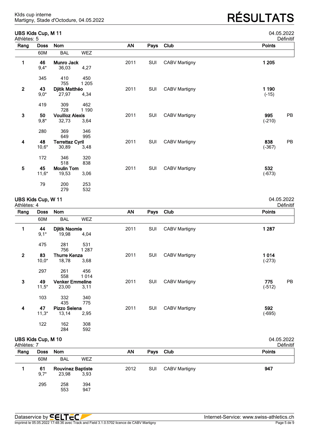### **UBS Kids Cup, M 11** 04.05.2022

Martigny, Stade d'Octodure, 04.05.2022 **RÉSULTATS**

| etiniti |  |  |
|---------|--|--|

| Athlètes: 5  |             |                        |            |      |      |                      | Définitif     |
|--------------|-------------|------------------------|------------|------|------|----------------------|---------------|
| Rang         | <b>Doss</b> | Nom                    |            | AN   | Pays | Club                 | <b>Points</b> |
|              | 60M         | <b>BAL</b>             | <b>WEZ</b> |      |      |                      |               |
| 1            | 46          | <b>Munro Jack</b>      |            | 2011 | SUI  | <b>CABV Martigny</b> | 1 2 0 5       |
|              | $9,4*$      | 36,03                  | 4,27       |      |      |                      |               |
|              | 345         | 410                    | 450        |      |      |                      |               |
|              |             | 755                    | 1 2 0 5    |      |      |                      |               |
| $\mathbf{2}$ | 43          | Djitik Matthéo         |            | 2011 | SUI  | <b>CABV Martigny</b> | 1 190         |
|              | $9,0*$      | 27,97                  | 4,34       |      |      |                      | $(-15)$       |
|              | 419         | 309                    | 462        |      |      |                      |               |
|              |             | 728                    | 1 1 9 0    |      |      |                      |               |
| $\mathbf{3}$ | 50          | <b>Vouilloz Alexis</b> |            | 2011 | SUI  | <b>CABV Martigny</b> | 995<br>PB     |
|              | $9,8*$      | 32,73                  | 3,64       |      |      |                      | $(-210)$      |
|              | 280         | 369                    | 346        |      |      |                      |               |
|              |             | 649                    | 995        |      |      |                      |               |
| 4            | 48          | <b>Terrettaz Cyril</b> |            | 2011 | SUI  | <b>CABV Martigny</b> | 838<br>PB     |
|              | $10,6*$     | 30,89                  | 3,48       |      |      |                      | $(-367)$      |
|              | 172         | 346                    | 320        |      |      |                      |               |
|              |             | 518                    | 838        |      |      |                      |               |
| 5            | 45          | <b>Moulin Tom</b>      |            | 2011 | SUI  | <b>CABV Martigny</b> | 532           |
|              | $11,6*$     | 19,53                  | 3,06       |      |      |                      | $(-673)$      |
|              | 79          | 200                    | 253        |      |      |                      |               |
|              |             | 279                    | 532        |      |      |                      |               |

## **UBS Kids Cup, W 11** 04.05.2022

| Athlètes: 4    |             |                        |                |           |      |                      | Définitif     |
|----------------|-------------|------------------------|----------------|-----------|------|----------------------|---------------|
| Rang           | <b>Doss</b> | Nom                    |                | <b>AN</b> | Pays | Club                 | <b>Points</b> |
|                | 60M         | <b>BAL</b>             | <b>WEZ</b>     |           |      |                      |               |
| 1              | 44          | <b>Djitik Naomie</b>   |                | 2011      | SUI  | <b>CABV Martigny</b> | 1 2 8 7       |
|                | $9,1*$      | 19,98                  | 4,04           |           |      |                      |               |
|                | 475         | 281<br>756             | 531<br>1 2 8 7 |           |      |                      |               |
| $\overline{2}$ | 83          | <b>Thurre Kenza</b>    |                | 2011      | SUI  | <b>CABV Martigny</b> | 1014          |
|                | $10,0*$     | 18,78                  | 3,68           |           |      |                      | $(-273)$      |
|                | 297         | 261                    | 456            |           |      |                      |               |
|                |             | 558                    | 1014           |           |      |                      |               |
| $\mathbf{3}$   | 49          | <b>Venker Emmeline</b> |                | 2011      | SUI  | <b>CABV Martigny</b> | PB<br>775     |
|                | $11,5*$     | 23,00                  | 3,11           |           |      |                      | $(-512)$      |
|                | 103         | 332                    | 340            |           |      |                      |               |
|                |             | 435                    | 775            |           |      |                      |               |
| 4              | 47          | Pizzo Selena           |                | 2011      | SUI  | <b>CABV Martigny</b> | 592           |
|                | $11,3*$     | 13,14                  | 2,95           |           |      |                      | $(-695)$      |
|                | 122         | 162                    | 308            |           |      |                      |               |
|                |             | 284                    | 592            |           |      |                      |               |

| UBS Kids Cup, M 10<br>Athlètes: 7 |             | 04.05.2022<br>Définitif  |            |      |      |                      |               |
|-----------------------------------|-------------|--------------------------|------------|------|------|----------------------|---------------|
| Rang                              | <b>Doss</b> | <b>Nom</b>               |            | ΑN   | Pays | Club                 | <b>Points</b> |
|                                   | 60M         | <b>BAL</b>               | <b>WEZ</b> |      |      |                      |               |
|                                   | 61          | <b>Rouvinez Baptiste</b> |            | 2012 | SUI  | <b>CABV Martigny</b> | 947           |
|                                   | $9,7*$      | 23,98                    | 3,93       |      |      |                      |               |
|                                   | 295         | 258                      | 394        |      |      |                      |               |
|                                   |             | 553                      | 947        |      |      |                      |               |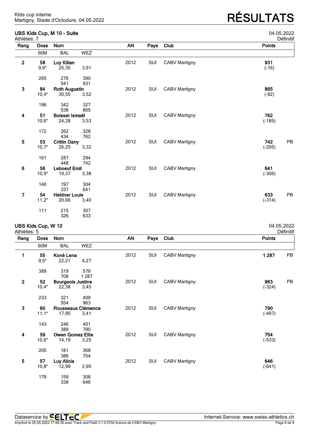### **UBS Kids Cup, M 10 - Suite** 04.05.2022

| odo Mus Cup, m Tu - Suite<br>Athlètes: 7 |             |                      |      |           |      |                      | <b>04.00.2022</b><br>Définitif |
|------------------------------------------|-------------|----------------------|------|-----------|------|----------------------|--------------------------------|
| Rang                                     | <b>Doss</b> | Nom                  |      | <b>AN</b> | Pays | Club                 | Points                         |
|                                          | 60M         | <b>BAL</b>           | WEZ  |           |      |                      |                                |
| $\mathbf{2}$                             | 58          | Luy Kilian           |      | 2012      | SUI  | <b>CABV Martigny</b> | 931                            |
|                                          | $9,9*$      | 25,35                | 3,91 |           |      |                      | $(-16)$                        |
|                                          | 265         | 276                  | 390  |           |      |                      |                                |
|                                          |             | 541                  | 931  |           |      |                      |                                |
| 3                                        | 84          | <b>Roth Augustin</b> |      | 2012      | SUI  | <b>CABV Martigny</b> | 865                            |
|                                          | $10,4*$     | 30,55                | 3,52 |           |      |                      | $(-82)$                        |
|                                          | 196         | 342                  | 327  |           |      |                      |                                |
|                                          |             | 538                  | 865  |           |      |                      |                                |
| 4                                        | 51          | Boisset Ismaël       |      | 2012      | SUI  | <b>CABV Martigny</b> | 762                            |
|                                          | $10,6*$     | 24,28                | 3,53 |           |      |                      | $(-185)$                       |
|                                          | 172         | 262                  | 328  |           |      |                      |                                |
|                                          |             | 434                  | 762  |           |      |                      |                                |
| $\overline{\mathbf{5}}$                  | 53          | <b>Crittin Dany</b>  |      | 2012      | SUI  | <b>CABV Martigny</b> | 742<br>PB                      |
|                                          | $10,7*$     | 26,25                | 3,32 |           |      |                      | $(-205)$                       |
|                                          | 161         | 287                  | 294  |           |      |                      |                                |
|                                          |             | 448                  | 742  |           |      |                      |                                |
| $\bf 6$                                  | 56          | <b>Leboeuf Emil</b>  |      | 2012      | SUI  | <b>CABV Martigny</b> | 641                            |
|                                          | $10,9*$     | 19,37                | 3,38 |           |      |                      | $(-306)$                       |
|                                          | 140         | 197                  | 304  |           |      |                      |                                |
|                                          |             | 337                  | 641  |           |      |                      |                                |
| $\overline{7}$                           | 54          | <b>Heldner Louis</b> |      | 2012      | SUI  | <b>CABV Martigny</b> | 633<br>PB                      |
|                                          | $11,2*$     | 20,66                | 3,40 |           |      |                      | $(-314)$                       |
|                                          | 111         | 215                  | 307  |           |      |                      |                                |
|                                          |             | 326                  | 633  |           |      |                      |                                |

# **UBS Kids Cup, W 10** 04.05.2022

| Athlètes: 5 |             |                          |                    |           |      |                      | Définitif     |
|-------------|-------------|--------------------------|--------------------|-----------|------|----------------------|---------------|
| Rang        | <b>Doss</b> | Nom                      |                    | <b>AN</b> | Pays | Club                 | <b>Points</b> |
|             | 60M         | <b>BAL</b>               | <b>WEZ</b>         |           |      |                      |               |
| 1           | 55          | Koné Lena                |                    | 2012      | SUI  | <b>CABV Martigny</b> | 1 2 8 7<br>PB |
|             | $9,5*$      | 22,21                    | 4,27               |           |      |                      |               |
|             | 389         | 319                      | 579                |           |      |                      |               |
|             |             | 708                      | 1 2 8 7            |           |      |                      |               |
| $\mathbf 2$ | 52          | <b>Bourgeois Justine</b> |                    | 2012      | SUI  | <b>CABV Martigny</b> | 963<br>PB     |
|             | $10,4*$     | 22,38                    | 3,45               |           |      |                      | $(-324)$      |
|             | 233         | 321                      | 409                |           |      |                      |               |
|             |             | 554                      | 963                |           |      |                      |               |
| $\mathbf 3$ | 60          |                          | Rousseaux Clémence | 2012      | SUI  | <b>CABV Martigny</b> | 790           |
|             | $11,1*$     | 17,95                    | 3,41               |           |      |                      | $(-497)$      |
|             | 143         | 246                      | 401                |           |      |                      |               |
|             |             | 389                      | 790                |           |      |                      |               |
| 4           | 59          | <b>Owen Gomez Ellie</b>  |                    | 2012      | SUI  | <b>CABV Martigny</b> | 754           |
|             | $10,6*$     | 14,19                    | 3,25               |           |      |                      | $(-533)$      |
|             | 205         | 181                      | 368                |           |      |                      |               |
|             |             | 386                      | 754                |           |      |                      |               |
| 5           | 57          | Luy Alicia               |                    | 2012      | SUI  | <b>CABV Martigny</b> | 646           |
|             | $10,8*$     | 12,99                    | 2,95               |           |      |                      | $(-641)$      |
|             | 179         | 159                      | 308                |           |      |                      |               |
|             |             | 338                      | 646                |           |      |                      |               |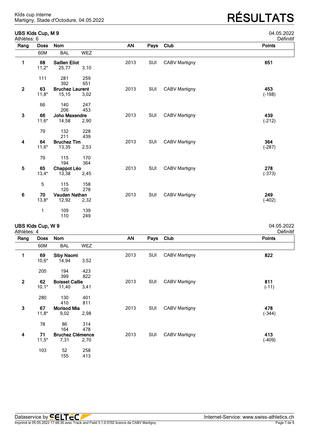Martigny, Stade d'Octodure, 04.05.2022 **RÉSULTATS**

| Athlètes: 6             | UBS Kids Cup, M 9 |                        |            |           |      |                      | 04.05.2022<br>Définitif |
|-------------------------|-------------------|------------------------|------------|-----------|------|----------------------|-------------------------|
| Rang                    | <b>Doss</b>       | Nom                    |            | <b>AN</b> | Pays | Club                 | <b>Points</b>           |
|                         | 60M               | <b>BAL</b>             | <b>WEZ</b> |           |      |                      |                         |
| 1                       | 68                | <b>Saillen Eliot</b>   |            | 2013      | SUI  | <b>CABV Martigny</b> | 651                     |
|                         | $11,2*$           | 25,77                  | 3,10       |           |      |                      |                         |
|                         | 111               | 281                    | 259        |           |      |                      |                         |
|                         |                   | 392                    | 651        |           |      |                      |                         |
| $\mathbf{2}$            | 63                | <b>Bruchez Laurent</b> |            | 2013      | SUI  | <b>CABV Martigny</b> | 453                     |
|                         | $11,8*$           | 15,15                  | 3,02       |           |      |                      | $(-198)$                |
|                         | 66                | 140                    | 247        |           |      |                      |                         |
|                         |                   | 206                    | 453        |           |      |                      |                         |
| $\mathbf{3}$            | 66                | Joho Maxendre          |            | 2013      | SUI  | <b>CABV Martigny</b> | 439                     |
|                         | $11,6*$           | 14,58                  | 2,90       |           |      |                      | $(-212)$                |
|                         | 79                | 132                    | 228        |           |      |                      |                         |
|                         |                   | 211                    | 439        |           |      |                      |                         |
| 4                       | 64                | <b>Bruchez Tim</b>     |            | 2013      | SUI  | <b>CABV Martigny</b> | 364                     |
|                         | $11,6*$           | 13,35                  | 2,53       |           |      |                      | $(-287)$                |
|                         | 79                | 115                    | 170        |           |      |                      |                         |
|                         |                   | 194                    | 364        |           |      |                      |                         |
| $\overline{\mathbf{5}}$ | 65                | Chappot Léo            |            | 2013      | SUI  | <b>CABV Martigny</b> | 278                     |
|                         | $13,4*$           | 13,38                  | 2,45       |           |      |                      | $(-373)$                |
|                         | 5                 | 115                    | 158        |           |      |                      |                         |
|                         |                   | 120                    | 278        |           |      |                      |                         |
| $6\phantom{a}$          | 70                | Vaudan Nathan          |            | 2013      | SUI  | <b>CABV Martigny</b> | 249                     |
|                         | $13,8*$           | 12,92                  | 2,32       |           |      |                      | $(-402)$                |

# **UBS Kids Cup, W 9** 04.05.2022

1 109 139<br>110 249

| Athlètes: 4    |             |                         |            |           |            |                      | Définitif     |
|----------------|-------------|-------------------------|------------|-----------|------------|----------------------|---------------|
| Rang           | <b>Doss</b> | Nom                     |            | <b>AN</b> | Pays       | Club                 | <b>Points</b> |
|                | 60M         | <b>BAL</b>              | <b>WEZ</b> |           |            |                      |               |
| 1              | 69          | <b>Siby Naomi</b>       |            | 2013      | SUI        | <b>CABV Martigny</b> | 822           |
|                | $10,6*$     | 14,94                   | 3,52       |           |            |                      |               |
|                | 205         | 194                     | 423        |           |            |                      |               |
|                |             | 399                     | 822        |           |            |                      |               |
| $\overline{2}$ | 62          | <b>Boisset Callie</b>   |            | 2013      | SUI        | <b>CABV Martigny</b> | 811           |
|                | $10,1*$     | 11,40                   | 3,41       |           |            |                      | $(-11)$       |
|                | 280         | 130                     | 401        |           |            |                      |               |
|                |             | 410                     | 811        |           |            |                      |               |
| 3              | 67          | <b>Morisod Mia</b>      |            | 2013      | <b>SUI</b> | <b>CABV Martigny</b> | 478           |
|                | $11,8*$     | 9,02                    | 2,98       |           |            |                      | $(-344)$      |
|                | 78          | 86                      | 314        |           |            |                      |               |
|                |             | 164                     | 478        |           |            |                      |               |
| 4              | 71          | <b>Bruchez Clémence</b> |            | 2013      | SUI        | <b>CABV Martigny</b> | 413           |
|                | $11,5*$     | 7,31                    | 2,70       |           |            |                      | $(-409)$      |
|                | 103         | 52                      | 258        |           |            |                      |               |
|                |             | 155                     | 413        |           |            |                      |               |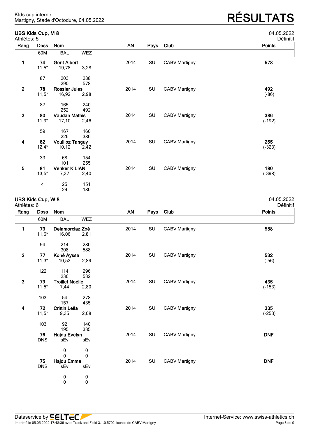### **UBS Kids Cup, M 8** 04.05.2022

Martigny, Stade d'Octodure, 04.05.2022 **RÉSULTATS**

| JJ.ZUZ.          |  |  |  |
|------------------|--|--|--|
| <b>Dófinitif</b> |  |  |  |

| Athlètes: 5             |             |                        |            |      |      |                      | Définitif |
|-------------------------|-------------|------------------------|------------|------|------|----------------------|-----------|
| Rang                    | <b>Doss</b> | Nom                    |            | AN   | Pays | Club                 | Points    |
|                         | 60M         | <b>BAL</b>             | <b>WEZ</b> |      |      |                      |           |
| 1                       | 74          | <b>Gent Albert</b>     |            | 2014 | SUI  | <b>CABV Martigny</b> | 578       |
|                         | $11,5*$     | 19,78                  | 3,28       |      |      |                      |           |
|                         | 87          | 203                    | 288        |      |      |                      |           |
|                         |             | 290                    | 578        |      |      |                      |           |
| $\mathbf 2$             | 78          | <b>Rossier Jules</b>   |            | 2014 | SUI  | <b>CABV Martigny</b> | 492       |
|                         | $11,5*$     | 16,92                  | 2,98       |      |      |                      | $(-86)$   |
|                         | 87          | 165                    | 240        |      |      |                      |           |
|                         |             | 252                    | 492        |      |      |                      |           |
| $\mathbf 3$             | 80          | <b>Vaudan Mathis</b>   |            | 2014 | SUI  | <b>CABV Martigny</b> | 386       |
|                         | $11,9*$     | 17,10                  | 2,46       |      |      |                      | $(-192)$  |
|                         | 59          | 167                    | 160        |      |      |                      |           |
|                         |             | 226                    | 386        |      |      |                      |           |
| 4                       | 82          | <b>Vouilloz Tanguy</b> |            | 2014 | SUI  | <b>CABV Martigny</b> | 255       |
|                         | $12,4*$     | 10, 12                 | 2,42       |      |      |                      | $(-323)$  |
|                         | 33          | 68                     | 154        |      |      |                      |           |
|                         |             | 101                    | 255        |      |      |                      |           |
| $\overline{\mathbf{5}}$ | 81          | <b>Venker KILIAN</b>   |            | 2014 | SUI  | <b>CABV Martigny</b> | 180       |
|                         | $13,5*$     | 7,37                   | 2,40       |      |      |                      | $(-398)$  |
|                         | 4           | 25                     | 151        |      |      |                      |           |
|                         |             | 29                     | 180        |      |      |                      |           |

#### **UBS Kids Cup, W 8** 04.05.2022

| Athlètes: 6  |             |                        |            |           |      |                      | Définitif  |
|--------------|-------------|------------------------|------------|-----------|------|----------------------|------------|
| Rang         | <b>Doss</b> | Nom                    |            | <b>AN</b> | Pays | Club                 | Points     |
|              | 60M         | <b>BAL</b>             | <b>WEZ</b> |           |      |                      |            |
| 1            | 73          | Delamorclaz Zoé        |            | 2014      | SUI  | <b>CABV Martigny</b> | 588        |
|              | $11,6*$     | 16,06                  | 2,81       |           |      |                      |            |
|              | 94          | 214                    | 280        |           |      |                      |            |
|              |             | 308                    | 588        |           |      |                      |            |
| $\mathbf 2$  | 77          | Koné Ayssa             |            | 2014      | SUI  | <b>CABV Martigny</b> | 532        |
|              | $11,3*$     | 10,53                  | 2,89       |           |      |                      | $(-56)$    |
|              | 122         | 114                    | 296        |           |      |                      |            |
|              |             | 236                    | 532        |           |      |                      |            |
| $\mathbf{3}$ | 79          | <b>Troillet Noélie</b> |            | 2014      | SUI  | <b>CABV Martigny</b> | 435        |
|              | $11,5*$     | 7,44                   | 2,80       |           |      |                      | $(-153)$   |
|              | 103         | 54                     | 278        |           |      |                      |            |
|              |             | 157                    | 435        |           |      |                      |            |
| 4            | 72          | <b>Crittin Leïla</b>   |            | 2014      | SUI  | <b>CABV Martigny</b> | 335        |
|              | $11,5*$     | 9,35                   | 2,08       |           |      |                      | $(-253)$   |
|              | 103         | 92                     | 140        |           |      |                      |            |
|              |             | 195                    | 335        |           |      |                      |            |
|              | 76          | <b>Hajdu Evelyn</b>    |            | 2014      | SUI  | <b>CABV Martigny</b> | <b>DNF</b> |
|              | <b>DNS</b>  | sEv                    | sEv        |           |      |                      |            |
|              |             | $\boldsymbol{0}$       | 0          |           |      |                      |            |
|              |             | $\mathbf 0$            | $\Omega$   |           |      |                      |            |
|              | 75          | Hajdu Emma             |            | 2014      | SUI  | <b>CABV Martigny</b> | <b>DNF</b> |
|              | <b>DNS</b>  | sEv                    | sEv        |           |      |                      |            |
|              |             | $\pmb{0}$              | $\pmb{0}$  |           |      |                      |            |

0 0